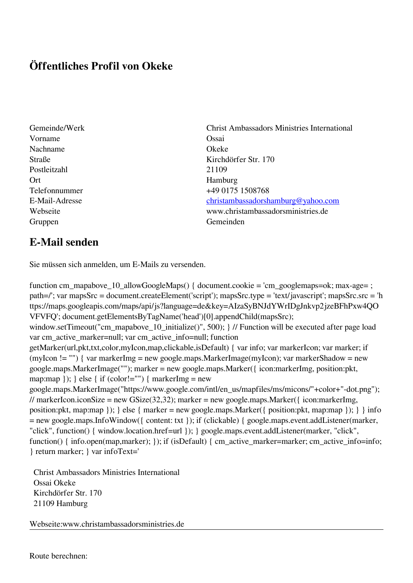## **Öffentliches Profil von Okeke**

- Vorname Ossai Nachname Okeke Postleitzahl 21109 Ort Hamburg Gruppen Gemeinden Gemeinden Gemeinden Gemeinden Gemeinden Gemeinden Gemeinden Gemeinden Gemeinden Gemeinden G
- Gemeinde/Werk Christ Ambassadors Ministries International Straße Kirchdörfer Str. 170 Telefonnummer +49 0175 1508768 E-Mail-Adresse [christambassadorshamburg@yahoo.com](mailto:christambassadorshamburg@yahoo.com) Webseite www.christambassadorsministries.de

## **E-Mail senden**

Sie müssen sich anmelden, um E-Mails zu versenden.

function cm\_mapabove\_10\_allowGoogleMaps() { document.cookie = 'cm\_googlemaps=ok; max-age= ; path=/'; var mapsSrc = document.createElement('script'); mapsSrc.type = 'text/javascript'; mapsSrc.src = 'h ttps://maps.googleapis.com/maps/api/js?language=de&key=AIzaSyBNJdYWrIDgJnkvp2jzeBFhPxw4QO VFVFQ'; document.getElementsByTagName('head')[0].appendChild(mapsSrc); window.setTimeout("cm\_mapabove\_10\_initialize()", 500); } // Function will be executed after page load var cm\_active\_marker=null; var cm\_active\_info=null; function getMarker(url,pkt,txt,color,myIcon,map,clickable,isDefault) { var info; var markerIcon; var marker; if (myIcon != "") { var markerImg = new google.maps.MarkerImage(myIcon); var markerShadow = new google.maps.MarkerImage(""); marker = new google.maps.Marker({ icon:markerImg, position:pkt, map:map  $\}$ ;  $\}$  else  $\{$  if (color!="")  $\{$  markerImg = new google.maps.MarkerImage("https://www.google.com/intl/en\_us/mapfiles/ms/micons/"+color+"-dot.png"); // markerIcon.iconSize = new GSize(32,32); marker = new google.maps.Marker({ $i$ con:markerImg, position:pkt, map:map }); } else { marker = new google.maps.Marker({ position:pkt, map:map }); } } info = new google.maps.InfoWindow({ content: txt }); if (clickable) { google.maps.event.addListener(marker, "click", function() { window.location.href=url }); } google.maps.event.addListener(marker, "click", function() { info.open(map,marker); }); if (isDefault) { cm\_active\_marker=marker; cm\_active\_info=info; } return marker; } var infoText='

 Christ Ambassadors Ministries International Ossai Okeke Kirchdörfer Str. 170 21109 Hamburg

Webseite:www.christambassadorsministries.de